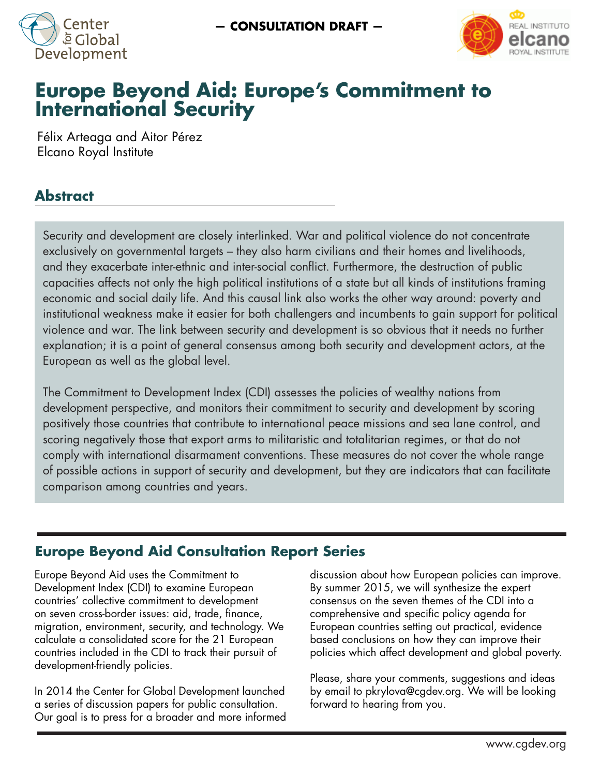



# **Europe Beyond Aid: Europe's Commitment to International Security**

Félix Arteaga and Aitor Pérez Elcano Royal Institute

## **Abstract**

Security and development are closely interlinked. War and political violence do not concentrate exclusively on governmental targets – they also harm civilians and their homes and livelihoods, and they exacerbate inter-ethnic and inter-social conflict. Furthermore, the destruction of public capacities affects not only the high political institutions of a state but all kinds of institutions framing economic and social daily life. And this causal link also works the other way around: poverty and institutional weakness make it easier for both challengers and incumbents to gain support for political violence and war. The link between security and development is so obvious that it needs no further explanation; it is a point of general consensus among both security and development actors, at the European as well as the global level.

The Commitment to Development Index (CDI) assesses the policies of wealthy nations from development perspective, and monitors their commitment to security and development by scoring positively those countries that contribute to international peace missions and sea lane control, and scoring negatively those that export arms to militaristic and totalitarian regimes, or that do not comply with international disarmament conventions. These measures do not cover the whole range of possible actions in support of security and development, but they are indicators that can facilitate comparison among countries and years.

## **Europe Beyond Aid Consultation Report Series**

Europe Beyond Aid uses the Commitment to Development Index (CDI) to examine European countries' collective commitment to development on seven cross-border issues: aid, trade, finance, migration, environment, security, and technology. We calculate a consolidated score for the 21 European countries included in the CDI to track their pursuit of development-friendly policies.

In 2014 the Center for Global Development launched a series of discussion papers for public consultation. Our goal is to press for a broader and more informed discussion about how European policies can improve. By summer 2015, we will synthesize the expert consensus on the seven themes of the CDI into a comprehensive and specific policy agenda for European countries setting out practical, evidence based conclusions on how they can improve their policies which affect development and global poverty.

Please, share your comments, suggestions and ideas by email to pkrylova@cgdev.org. We will be looking forward to hearing from you.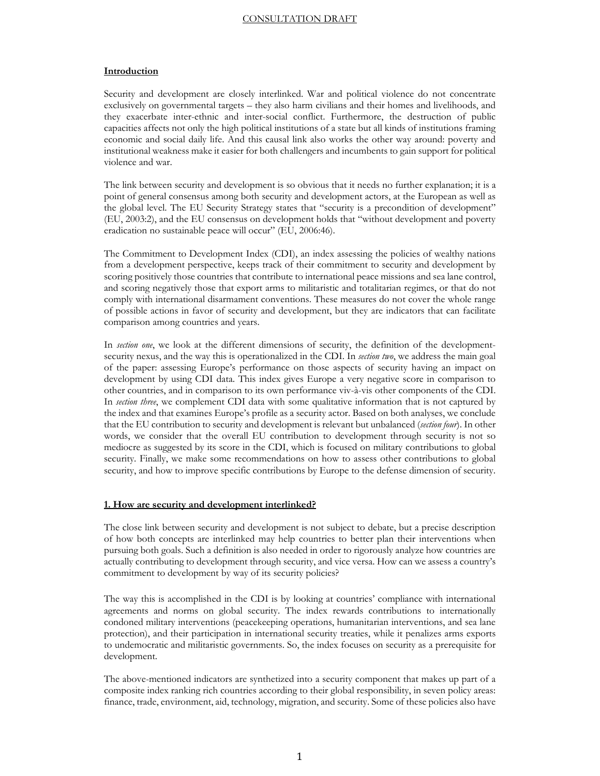#### **Introduction**

Security and development are closely interlinked. War and political violence do not concentrate exclusively on governmental targets – they also harm civilians and their homes and livelihoods, and they exacerbate inter-ethnic and inter-social conflict. Furthermore, the destruction of public capacities affects not only the high political institutions of a state but all kinds of institutions framing economic and social daily life. And this causal link also works the other way around: poverty and institutional weakness make it easier for both challengers and incumbents to gain support for political violence and war.

The link between security and development is so obvious that it needs no further explanation; it is a point of general consensus among both security and development actors, at the European as well as the global level. The EU Security Strategy states that "security is a precondition of development" (EU, 2003:2), and the EU consensus on development holds that "without development and poverty eradication no sustainable peace will occur" (EU, 2006:46).

The Commitment to Development Index (CDI), an index assessing the policies of wealthy nations from a development perspective, keeps track of their commitment to security and development by scoring positively those countries that contribute to international peace missions and sea lane control, and scoring negatively those that export arms to militaristic and totalitarian regimes, or that do not comply with international disarmament conventions. These measures do not cover the whole range of possible actions in favor of security and development, but they are indicators that can facilitate comparison among countries and years.

In *section one*, we look at the different dimensions of security, the definition of the developmentsecurity nexus, and the way this is operationalized in the CDI. In *section two*, we address the main goal of the paper: assessing Europe's performance on those aspects of security having an impact on development by using CDI data. This index gives Europe a very negative score in comparison to other countries, and in comparison to its own performance viv-à-vis other components of the CDI. In *section three*, we complement CDI data with some qualitative information that is not captured by the index and that examines Europe's profile as a security actor. Based on both analyses, we conclude that the EU contribution to security and development is relevant but unbalanced (*section four*). In other words, we consider that the overall EU contribution to development through security is not so mediocre as suggested by its score in the CDI, which is focused on military contributions to global security. Finally, we make some recommendations on how to assess other contributions to global security, and how to improve specific contributions by Europe to the defense dimension of security.

#### **1. How are security and development interlinked?**

The close link between security and development is not subject to debate, but a precise description of how both concepts are interlinked may help countries to better plan their interventions when pursuing both goals. Such a definition is also needed in order to rigorously analyze how countries are actually contributing to development through security, and vice versa. How can we assess a country's commitment to development by way of its security policies?

The way this is accomplished in the CDI is by looking at countries' compliance with international agreements and norms on global security. The index rewards contributions to internationally condoned military interventions (peacekeeping operations, humanitarian interventions, and sea lane protection), and their participation in international security treaties, while it penalizes arms exports to undemocratic and militaristic governments. So, the index focuses on security as a prerequisite for development.

The above-mentioned indicators are synthetized into a security component that makes up part of a composite index ranking rich countries according to their global responsibility, in seven policy areas: finance, trade, environment, aid, technology, migration, and security. Some of these policies also have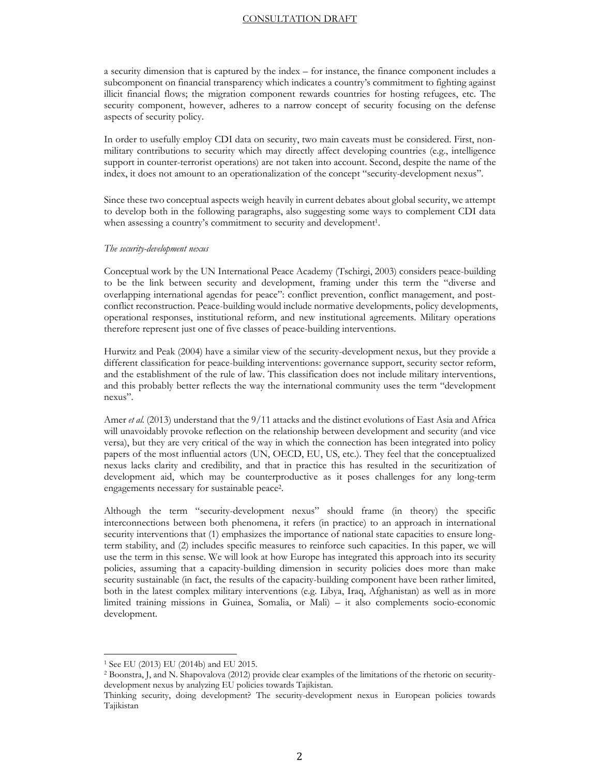a security dimension that is captured by the index – for instance, the finance component includes a subcomponent on financial transparency which indicates a country's commitment to fighting against illicit financial flows; the migration component rewards countries for hosting refugees, etc. The security component, however, adheres to a narrow concept of security focusing on the defense aspects of security policy.

In order to usefully employ CDI data on security, two main caveats must be considered. First, nonmilitary contributions to security which may directly affect developing countries (e.g., intelligence support in counter-terrorist operations) are not taken into account. Second, despite the name of the index, it does not amount to an operationalization of the concept "security-development nexus".

Since these two conceptual aspects weigh heavily in current debates about global security, we attempt to develop both in the following paragraphs, also suggesting some ways to complement CDI data when assessing a country's commitment to security and development<sup>1</sup>.

#### *The security-development nexus*

Conceptual work by the UN International Peace Academy (Tschirgi, 2003) considers peace-building to be the link between security and development, framing under this term the "diverse and overlapping international agendas for peace": conflict prevention, conflict management, and postconflict reconstruction. Peace-building would include normative developments, policy developments, operational responses, institutional reform, and new institutional agreements. Military operations therefore represent just one of five classes of peace-building interventions.

Hurwitz and Peak (2004) have a similar view of the security-development nexus, but they provide a different classification for peace-building interventions: governance support, security sector reform, and the establishment of the rule of law. This classification does not include military interventions, and this probably better reflects the way the international community uses the term "development nexus".

Amer *et al.* (2013) understand that the 9/11 attacks and the distinct evolutions of East Asia and Africa will unavoidably provoke reflection on the relationship between development and security (and vice versa), but they are very critical of the way in which the connection has been integrated into policy papers of the most influential actors (UN, OECD, EU, US, etc.). They feel that the conceptualized nexus lacks clarity and credibility, and that in practice this has resulted in the securitization of development aid, which may be counterproductive as it poses challenges for any long-term engagements necessary for sustainable peace2.

Although the term "security-development nexus" should frame (in theory) the specific interconnections between both phenomena, it refers (in practice) to an approach in international security interventions that (1) emphasizes the importance of national state capacities to ensure longterm stability, and (2) includes specific measures to reinforce such capacities. In this paper, we will use the term in this sense. We will look at how Europe has integrated this approach into its security policies, assuming that a capacity-building dimension in security policies does more than make security sustainable (in fact, the results of the capacity-building component have been rather limited, both in the latest complex military interventions (e.g. Libya, Iraq, Afghanistan) as well as in more limited training missions in Guinea, Somalia, or Mali) – it also complements socio-economic development.

<sup>1</sup> See EU (2013) EU (2014b) and EU 2015.

<sup>2</sup> Boonstra, J, and N. Shapovalova (2012) provide clear examples of the limitations of the rhetoric on securitydevelopment nexus by analyzing EU policies towards Tajikistan.

Thinking security, doing development? The security-development nexus in European policies towards Tajikistan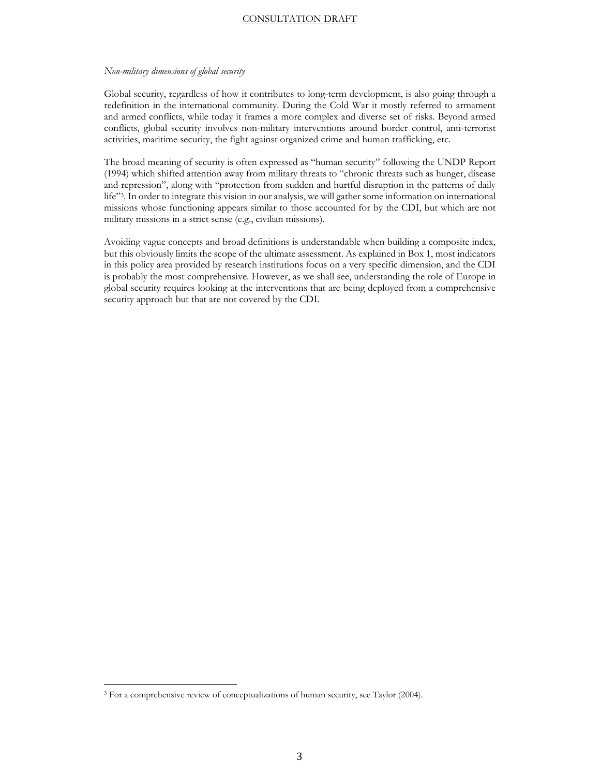#### *Non-military dimensions of global security*

Global security, regardless of how it contributes to long-term development, is also going through a redefinition in the international community. During the Cold War it mostly referred to armament and armed conflicts, while today it frames a more complex and diverse set of risks. Beyond armed conflicts, global security involves non-military interventions around border control, anti-terrorist activities, maritime security, the fight against organized crime and human trafficking, etc.

The broad meaning of security is often expressed as "human security" following the UNDP Report (1994) which shifted attention away from military threats to "chronic threats such as hunger, disease and repression", along with "protection from sudden and hurtful disruption in the patterns of daily life"3. In order to integrate this vision in our analysis, we will gather some information on international missions whose functioning appears similar to those accounted for by the CDI, but which are not military missions in a strict sense (e.g., civilian missions).

Avoiding vague concepts and broad definitions is understandable when building a composite index, but this obviously limits the scope of the ultimate assessment. As explained in Box 1, most indicators in this policy area provided by research institutions focus on a very specific dimension, and the CDI is probably the most comprehensive. However, as we shall see, understanding the role of Europe in global security requires looking at the interventions that are being deployed from a comprehensive security approach but that are not covered by the CDI.

<sup>&</sup>lt;sup>3</sup> For a comprehensive review of conceptualizations of human security, see Taylor (2004).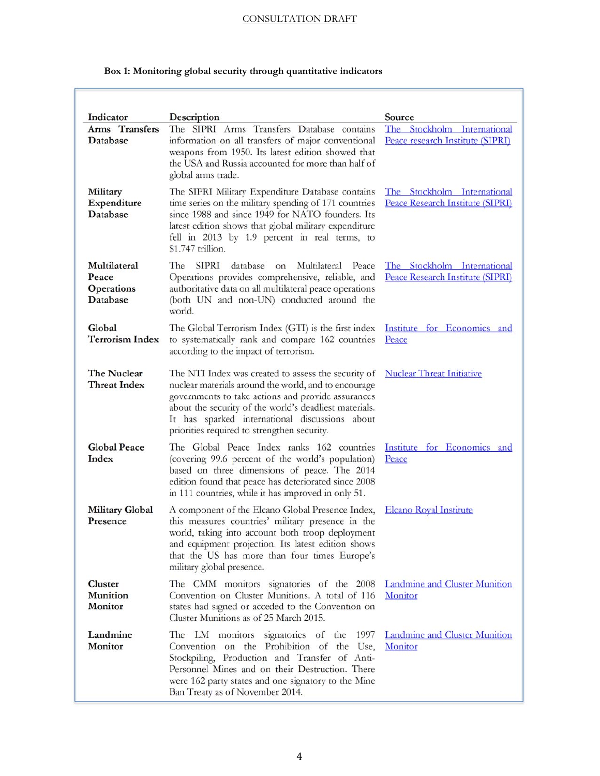| Indicator<br>Arms Transfers<br>Database         | Description<br>The SIPRI Arms Transfers Database contains<br>information on all transfers of major conventional<br>weapons from 1950. Its latest edition showed that<br>the USA and Russia accounted for more than half of<br>global arms trade.                                                                             | Source<br>The Stockholm International<br>Peace research Institute (SIPRI) |  |  |
|-------------------------------------------------|------------------------------------------------------------------------------------------------------------------------------------------------------------------------------------------------------------------------------------------------------------------------------------------------------------------------------|---------------------------------------------------------------------------|--|--|
| Military<br>Expenditure<br>Database             | The SIPRI Military Expenditure Database contains<br>time series on the military spending of 171 countries<br>since 1988 and since 1949 for NATO founders. Its<br>latest edition shows that global military expenditure<br>fell in 2013 by 1.9 percent in real terms, to<br>\$1.747 trillion.                                 | The Stockholm International<br>Peace Research Institute (SIPRI)           |  |  |
| Multilateral<br>Peace<br>Operations<br>Database | <b>SIPRI</b><br>database<br>Multilateral<br>The<br>Peace<br>on<br>Operations provides comprehensive, reliable, and<br>authoritative data on all multilateral peace operations<br>(both UN and non-UN) conducted around the<br>world.                                                                                         | The Stockholm International<br>Peace Research Institute (SIPRI)           |  |  |
| Global<br><b>Terrorism Index</b>                | The Global Terrorism Index (GTI) is the first index<br>to systematically rank and compare 162 countries<br>according to the impact of terrorism.                                                                                                                                                                             | Institute for Economics and<br>Peace                                      |  |  |
| The Nuclear<br><b>Threat Index</b>              | The NTI Index was created to assess the security of<br>nuclear materials around the world, and to encourage<br>governments to take actions and provide assurances<br>about the security of the world's deadliest materials.<br>It has sparked international discussions about<br>priorities required to strengthen security. | <b>Nuclear Threat Initiative</b>                                          |  |  |
| <b>Global Peace</b><br>Index                    | The Global Peace Index ranks 162 countries<br>(covering 99.6 percent of the world's population)<br>based on three dimensions of peace. The 2014<br>edition found that peace has deteriorated since 2008<br>in 111 countries, while it has improved in only 51.                                                               | Institute for Economics and<br>Peace                                      |  |  |
| <b>Military Global</b><br>Presence              | A component of the Elcano Global Presence Index,<br>this measures countries' military presence in the<br>world, taking into account both troop deployment<br>and equipment projection. Its latest edition shows<br>that the US has more than four times Europe's<br>military global presence.                                | <b>Elcano Royal Institute</b>                                             |  |  |
| Cluster<br><b>Munition</b><br>Monitor           | The CMM monitors signatories of the 2008<br>Convention on Cluster Munitions. A total of 116<br>states had signed or acceded to the Convention on<br>Cluster Munitions as of 25 March 2015.                                                                                                                                   | <b>Landmine and Cluster Munition</b><br>Monitor                           |  |  |
| Landmine<br>Monitor                             | The LM monitors signatories of the<br>1997<br>Convention on the Prohibition of the Use,<br>Stockpiling, Production and Transfer of Anti-<br>Personnel Mines and on their Destruction. There<br>were 162 party states and one signatory to the Mine<br>Ban Treaty as of November 2014.                                        | <b>Landmine and Cluster Munition</b><br>Monitor                           |  |  |

## **Box 1: Monitoring global security through quantitative indicators**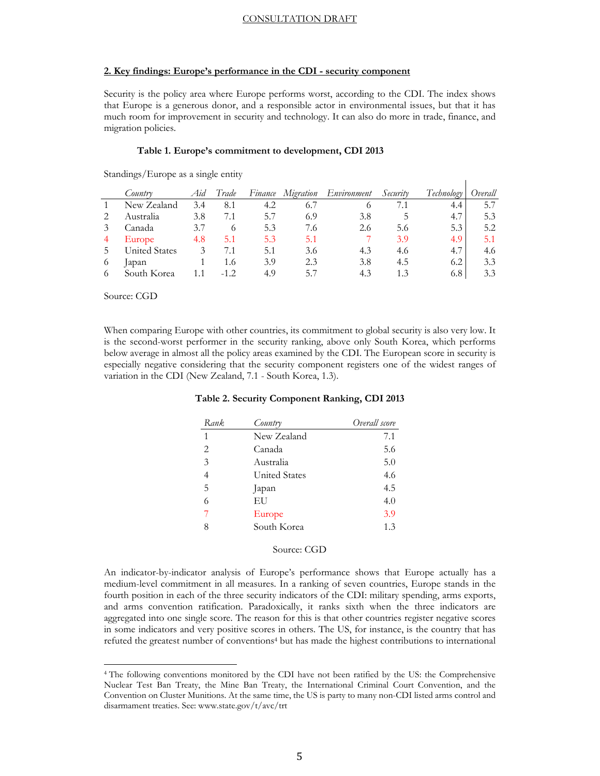#### **2. Key findings: Europe's performance in the CDI - security component**

Security is the policy area where Europe performs worst, according to the CDI. The index shows that Europe is a generous donor, and a responsible actor in environmental issues, but that it has much room for improvement in security and technology. It can also do more in trade, finance, and migration policies.

#### **Table 1. Europe's commitment to development, CDI 2013**

|                | Country              | Aıd | Trade    |     | Finance Migration | Environment | Security | Technology | Overall |
|----------------|----------------------|-----|----------|-----|-------------------|-------------|----------|------------|---------|
|                | New Zealand          | 3.4 | 8.1      | 4.2 | 6.7               | $\circ$     |          | 4.4        | 5.7     |
| 2              | Australia            | 3.8 | 7.1      | 5.7 | 6.9               | 3.8         |          | 4.7        | 5.3     |
| 3              | Canada               | 3.7 | $\Omega$ | 5.3 | 7.6               | 2.6         | 5.6      | 5.3        | 5.2     |
| $\overline{4}$ | Europe               | 4.8 | 5.1      | 5.3 | 5.1               |             | 3.9      | 4.9        | 5.1     |
| .5             | <b>United States</b> |     | 7.1      | 5.1 | 3.6               | 4.3         | 4.6      | 4.7        | 4.6     |
| 6              | lapan                |     | 1.6      | 3.9 | 2.3               | 3.8         | 4.5      | 6.2        | 3.3     |
| 6              | South Korea          |     |          | 4.9 | 57                | 4.3         | 1.3      | 6.8        | 3.3     |

 $\mathbf{I}$ 

Standings/Europe as a single entity

Source: CGD

l

When comparing Europe with other countries, its commitment to global security is also very low. It is the second-worst performer in the security ranking, above only South Korea, which performs below average in almost all the policy areas examined by the CDI. The European score in security is especially negative considering that the security component registers one of the widest ranges of variation in the CDI (New Zealand, 7.1 - South Korea, 1.3).

#### **Table 2. Security Component Ranking, CDI 2013**

| Rank.          | Country       | Overall score |
|----------------|---------------|---------------|
| 1              | New Zealand   | 7.1           |
| 2              | Canada        | 5.6           |
| 3              | Australia     | 5.0           |
| $\overline{4}$ | United States | 4.6           |
| 5              | Japan         | 4.5           |
| 6              | EU            | 4.0           |
|                | Europe        | 3.9           |
| 8              | South Korea   | 1.3           |

#### Source: CGD

An indicator-by-indicator analysis of Europe's performance shows that Europe actually has a medium-level commitment in all measures. In a ranking of seven countries, Europe stands in the fourth position in each of the three security indicators of the CDI: military spending, arms exports, and arms convention ratification. Paradoxically, it ranks sixth when the three indicators are aggregated into one single score. The reason for this is that other countries register negative scores in some indicators and very positive scores in others. The US, for instance, is the country that has refuted the greatest number of conventions4 but has made the highest contributions to international

<sup>4</sup> The following conventions monitored by the CDI have not been ratified by the US: the Comprehensive Nuclear Test Ban Treaty, the Mine Ban Treaty, the International Criminal Court Convention, and the Convention on Cluster Munitions. At the same time, the US is party to many non-CDI listed arms control and disarmament treaties. See: www.state.gov/t/avc/trt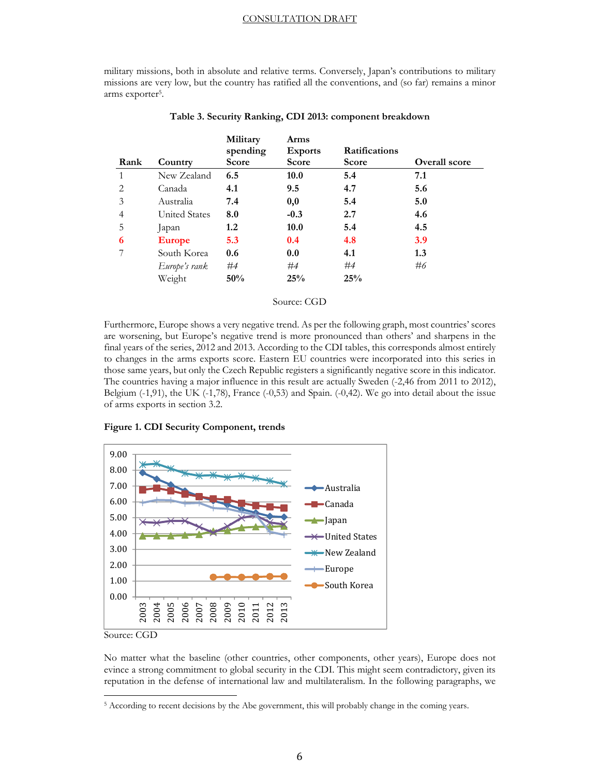military missions, both in absolute and relative terms. Conversely, Japan's contributions to military missions are very low, but the country has ratified all the conventions, and (so far) remains a minor arms exporter<sup>5</sup>.

|      |                      | Military<br>spending | Arms<br><b>Exports</b> | <b>Ratifications</b> |                      |
|------|----------------------|----------------------|------------------------|----------------------|----------------------|
| Rank | Country              | Score                | Score                  | <b>Score</b>         | <b>Overall score</b> |
|      | New Zealand          | 6.5                  | 10.0                   | 5.4                  | 7.1                  |
| 2    | Canada               | 4.1                  | 9.5                    | 4.7                  | 5.6                  |
| 3    | Australia            | 7.4                  | 0,0                    | 5.4                  | 5.0                  |
| 4    | <b>United States</b> | 8.0                  | $-0.3$                 | 2.7                  | 4.6                  |
| 5    | Japan                | 1.2                  | 10.0                   | 5.4                  | 4.5                  |
| 6    | <b>Europe</b>        | 5.3                  | 0.4                    | 4.8                  | <b>3.9</b>           |
|      | South Korea          | 0.6                  | 0.0                    | 4.1                  | 1.3                  |
|      | Europe's rank        | #4                   | #4                     | #4                   | #6                   |
|      | Weight               | 50%                  | 25%                    | 25%                  |                      |

#### **Table 3. Security Ranking, CDI 2013: component breakdown**

**Military** 

#### Source: CGD

Furthermore, Europe shows a very negative trend. As per the following graph, most countries' scores are worsening, but Europe's negative trend is more pronounced than others' and sharpens in the final years of the series, 2012 and 2013. According to the CDI tables, this corresponds almost entirely to changes in the arms exports score. Eastern EU countries were incorporated into this series in those same years, but only the Czech Republic registers a significantly negative score in this indicator. The countries having a major influence in this result are actually Sweden (-2,46 from 2011 to 2012), Belgium (-1,91), the UK (-1,78), France (-0,53) and Spain. (-0,42). We go into detail about the issue of arms exports in section 3.2.



**Figure 1. CDI Security Component, trends** 

Source: CGD

l

No matter what the baseline (other countries, other components, other years), Europe does not evince a strong commitment to global security in the CDI. This might seem contradictory, given its reputation in the defense of international law and multilateralism. In the following paragraphs, we

<sup>5</sup> According to recent decisions by the Abe government, this will probably change in the coming years.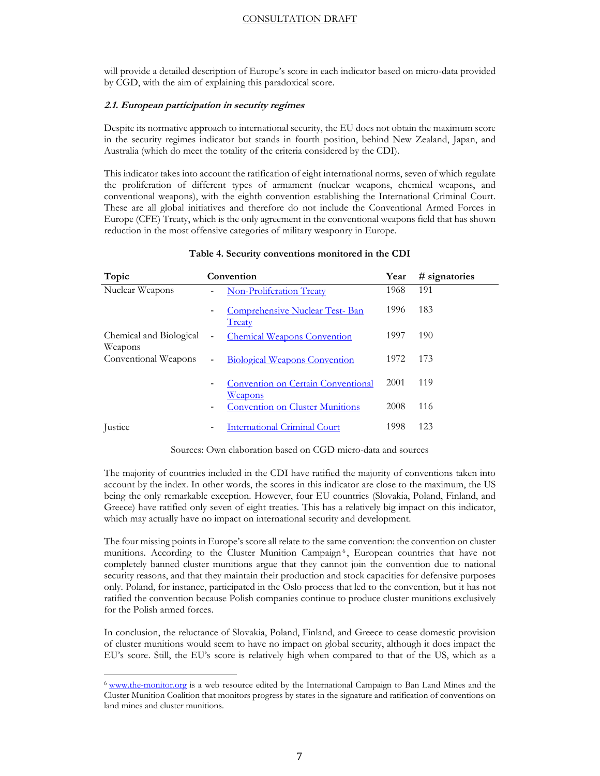will provide a detailed description of Europe's score in each indicator based on micro-data provided by CGD, with the aim of explaining this paradoxical score.

#### **2.1. European participation in security regimes**

Despite its normative approach to international security, the EU does not obtain the maximum score in the security regimes indicator but stands in fourth position, behind New Zealand, Japan, and Australia (which do meet the totality of the criteria considered by the CDI).

This indicator takes into account the ratification of eight international norms, seven of which regulate the proliferation of different types of armament (nuclear weapons, chemical weapons, and conventional weapons), with the eighth convention establishing the International Criminal Court. These are all global initiatives and therefore do not include the Conventional Armed Forces in Europe (CFE) Treaty, which is the only agreement in the conventional weapons field that has shown reduction in the most offensive categories of military weaponry in Europe.

| Topic                              | Convention                                                        | Year | # signatories |
|------------------------------------|-------------------------------------------------------------------|------|---------------|
| Nuclear Weapons                    | <b>Non-Proliferation Treaty</b>                                   | 1968 | 191           |
|                                    | <b>Comprehensive Nuclear Test-Ban</b><br>$\blacksquare$<br>Treaty | 1996 | 183           |
| Chemical and Biological<br>Weapons | <b>Chemical Weapons Convention</b><br>$\overline{\phantom{0}}$    | 1997 | 190           |
| Conventional Weapons               | <b>Biological Weapons Convention</b><br>$\blacksquare$            | 1972 | 173           |
|                                    | Convention on Certain Conventional<br>$\blacksquare$<br>Weapons   | 2001 | 119           |
|                                    | <b>Convention on Cluster Munitions</b>                            | 2008 | 116           |
| Justice                            | <b>International Criminal Court</b>                               | 1998 | 123           |

#### **Table 4. Security conventions monitored in the CDI**

#### Sources: Own elaboration based on CGD micro-data and sources

The majority of countries included in the CDI have ratified the majority of conventions taken into account by the index. In other words, the scores in this indicator are close to the maximum, the US being the only remarkable exception. However, four EU countries (Slovakia, Poland, Finland, and Greece) have ratified only seven of eight treaties. This has a relatively big impact on this indicator, which may actually have no impact on international security and development.

The four missing points in Europe's score all relate to the same convention: the convention on cluster munitions. According to the Cluster Munition Campaign<sup>6</sup>, European countries that have not completely banned cluster munitions argue that they cannot join the convention due to national security reasons, and that they maintain their production and stock capacities for defensive purposes only. Poland, for instance, participated in the Oslo process that led to the convention, but it has not ratified the convention because Polish companies continue to produce cluster munitions exclusively for the Polish armed forces.

In conclusion, the reluctance of Slovakia, Poland, Finland, and Greece to cease domestic provision of cluster munitions would seem to have no impact on global security, although it does impact the EU's score. Still, the EU's score is relatively high when compared to that of the US, which as a

<sup>&</sup>lt;sup>6</sup> www.the-monitor.org is a web resource edited by the International Campaign to Ban Land Mines and the Cluster Munition Coalition that monitors progress by states in the signature and ratification of conventions on land mines and cluster munitions.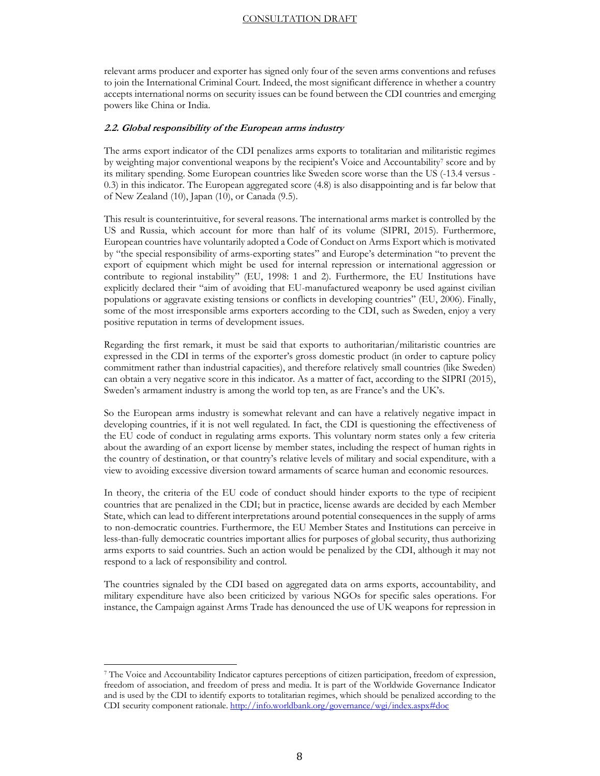relevant arms producer and exporter has signed only four of the seven arms conventions and refuses to join the International Criminal Court. Indeed, the most significant difference in whether a country accepts international norms on security issues can be found between the CDI countries and emerging powers like China or India.

#### **2.2. Global responsibility of the European arms industry**

The arms export indicator of the CDI penalizes arms exports to totalitarian and militaristic regimes by weighting major conventional weapons by the recipient's Voice and Accountability<sup>7</sup> score and by its military spending. Some European countries like Sweden score worse than the US (-13.4 versus - 0.3) in this indicator. The European aggregated score (4.8) is also disappointing and is far below that of New Zealand (10), Japan (10), or Canada (9.5).

This result is counterintuitive, for several reasons. The international arms market is controlled by the US and Russia, which account for more than half of its volume (SIPRI, 2015). Furthermore, European countries have voluntarily adopted a Code of Conduct on Arms Export which is motivated by "the special responsibility of arms-exporting states" and Europe's determination "to prevent the export of equipment which might be used for internal repression or international aggression or contribute to regional instability" (EU, 1998: 1 and 2). Furthermore, the EU Institutions have explicitly declared their "aim of avoiding that EU-manufactured weaponry be used against civilian populations or aggravate existing tensions or conflicts in developing countries" (EU, 2006). Finally, some of the most irresponsible arms exporters according to the CDI, such as Sweden, enjoy a very positive reputation in terms of development issues.

Regarding the first remark, it must be said that exports to authoritarian/militaristic countries are expressed in the CDI in terms of the exporter's gross domestic product (in order to capture policy commitment rather than industrial capacities), and therefore relatively small countries (like Sweden) can obtain a very negative score in this indicator. As a matter of fact, according to the SIPRI (2015), Sweden's armament industry is among the world top ten, as are France's and the UK's.

So the European arms industry is somewhat relevant and can have a relatively negative impact in developing countries, if it is not well regulated. In fact, the CDI is questioning the effectiveness of the EU code of conduct in regulating arms exports. This voluntary norm states only a few criteria about the awarding of an export license by member states, including the respect of human rights in the country of destination, or that country's relative levels of military and social expenditure, with a view to avoiding excessive diversion toward armaments of scarce human and economic resources.

In theory, the criteria of the EU code of conduct should hinder exports to the type of recipient countries that are penalized in the CDI; but in practice, license awards are decided by each Member State, which can lead to different interpretations around potential consequences in the supply of arms to non-democratic countries. Furthermore, the EU Member States and Institutions can perceive in less-than-fully democratic countries important allies for purposes of global security, thus authorizing arms exports to said countries. Such an action would be penalized by the CDI, although it may not respond to a lack of responsibility and control.

The countries signaled by the CDI based on aggregated data on arms exports, accountability, and military expenditure have also been criticized by various NGOs for specific sales operations. For instance, the Campaign against Arms Trade has denounced the use of UK weapons for repression in

<sup>7</sup> The Voice and Accountability Indicator captures perceptions of citizen participation, freedom of expression, freedom of association, and freedom of press and media. It is part of the Worldwide Governance Indicator and is used by the CDI to identify exports to totalitarian regimes, which should be penalized according to the CDI security component rationale. http://info.worldbank.org/governance/wgi/index.aspx#doc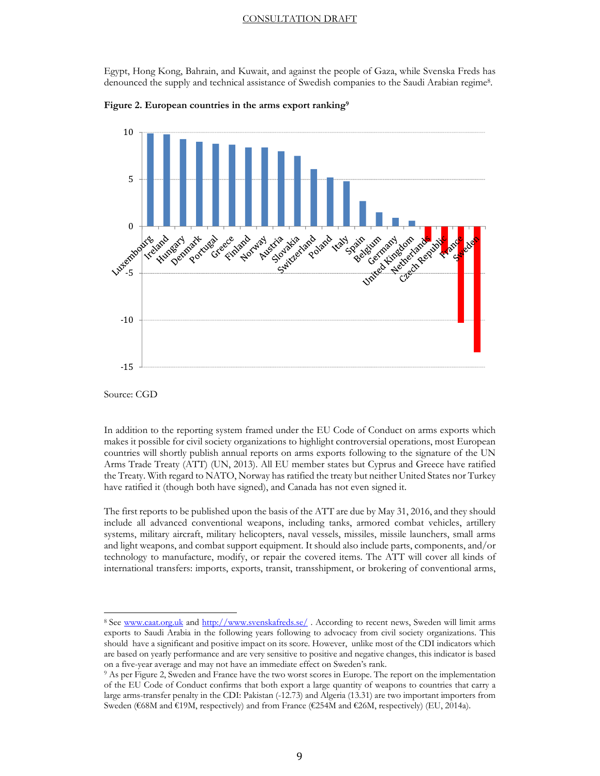Egypt, Hong Kong, Bahrain, and Kuwait, and against the people of Gaza, while Svenska Freds has denounced the supply and technical assistance of Swedish companies to the Saudi Arabian regime8.



**Figure 2. European countries in the arms export ranking9**

Source: CGD

l

In addition to the reporting system framed under the EU Code of Conduct on arms exports which makes it possible for civil society organizations to highlight controversial operations, most European countries will shortly publish annual reports on arms exports following to the signature of the UN Arms Trade Treaty (ATT) (UN, 2013). All EU member states but Cyprus and Greece have ratified the Treaty. With regard to NATO, Norway has ratified the treaty but neither United States nor Turkey have ratified it (though both have signed), and Canada has not even signed it.

The first reports to be published upon the basis of the ATT are due by May 31, 2016, and they should include all advanced conventional weapons, including tanks, armored combat vehicles, artillery systems, military aircraft, military helicopters, naval vessels, missiles, missile launchers, small arms and light weapons, and combat support equipment. It should also include parts, components, and/or technology to manufacture, modify, or repair the covered items. The ATT will cover all kinds of international transfers: imports, exports, transit, transshipment, or brokering of conventional arms,

<sup>8</sup> See www.caat.org.uk and http://www.svenskafreds.se/. According to recent news, Sweden will limit arms exports to Saudi Arabia in the following years following to advocacy from civil society organizations. This should have a significant and positive impact on its score. However, unlike most of the CDI indicators which are based on yearly performance and are very sensitive to positive and negative changes, this indicator is based on a five-year average and may not have an immediate effect on Sweden's rank.

<sup>9</sup> As per Figure 2, Sweden and France have the two worst scores in Europe. The report on the implementation of the EU Code of Conduct confirms that both export a large quantity of weapons to countries that carry a large arms-transfer penalty in the CDI: Pakistan (-12.73) and Algeria (13.31) are two important importers from Sweden (€68M and €19M, respectively) and from France (€254M and €26M, respectively) (EU, 2014a).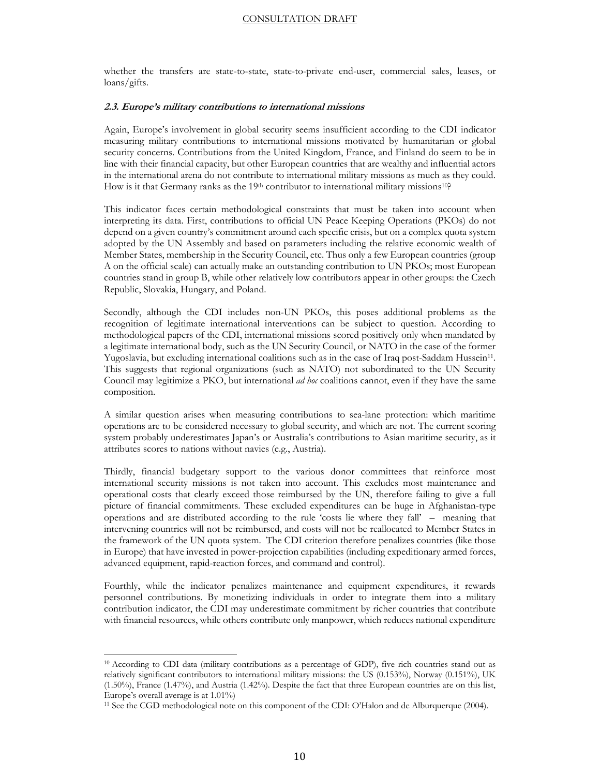whether the transfers are state-to-state, state-to-private end-user, commercial sales, leases, or loans/gifts.

#### **2.3. Europe's military contributions to international missions**

Again, Europe's involvement in global security seems insufficient according to the CDI indicator measuring military contributions to international missions motivated by humanitarian or global security concerns. Contributions from the United Kingdom, France, and Finland do seem to be in line with their financial capacity, but other European countries that are wealthy and influential actors in the international arena do not contribute to international military missions as much as they could. How is it that Germany ranks as the 19<sup>th</sup> contributor to international military missions<sup>10</sup>?

This indicator faces certain methodological constraints that must be taken into account when interpreting its data. First, contributions to official UN Peace Keeping Operations (PKOs) do not depend on a given country's commitment around each specific crisis, but on a complex quota system adopted by the UN Assembly and based on parameters including the relative economic wealth of Member States, membership in the Security Council, etc. Thus only a few European countries (group A on the official scale) can actually make an outstanding contribution to UN PKOs; most European countries stand in group B, while other relatively low contributors appear in other groups: the Czech Republic, Slovakia, Hungary, and Poland.

Secondly, although the CDI includes non-UN PKOs, this poses additional problems as the recognition of legitimate international interventions can be subject to question. According to methodological papers of the CDI, international missions scored positively only when mandated by a legitimate international body, such as the UN Security Council, or NATO in the case of the former Yugoslavia, but excluding international coalitions such as in the case of Iraq post-Saddam Hussein<sup>11</sup>. This suggests that regional organizations (such as NATO) not subordinated to the UN Security Council may legitimize a PKO, but international *ad hoc* coalitions cannot, even if they have the same composition.

A similar question arises when measuring contributions to sea-lane protection: which maritime operations are to be considered necessary to global security, and which are not. The current scoring system probably underestimates Japan's or Australia's contributions to Asian maritime security, as it attributes scores to nations without navies (e.g., Austria).

Thirdly, financial budgetary support to the various donor committees that reinforce most international security missions is not taken into account. This excludes most maintenance and operational costs that clearly exceed those reimbursed by the UN, therefore failing to give a full picture of financial commitments. These excluded expenditures can be huge in Afghanistan-type operations and are distributed according to the rule 'costs lie where they fall' – meaning that intervening countries will not be reimbursed, and costs will not be reallocated to Member States in the framework of the UN quota system. The CDI criterion therefore penalizes countries (like those in Europe) that have invested in power-projection capabilities (including expeditionary armed forces, advanced equipment, rapid-reaction forces, and command and control).

Fourthly, while the indicator penalizes maintenance and equipment expenditures, it rewards personnel contributions. By monetizing individuals in order to integrate them into a military contribution indicator, the CDI may underestimate commitment by richer countries that contribute with financial resources, while others contribute only manpower, which reduces national expenditure

<sup>10</sup> According to CDI data (military contributions as a percentage of GDP), five rich countries stand out as relatively significant contributors to international military missions: the US (0.153%), Norway (0.151%), UK (1.50%), France (1.47%), and Austria (1.42%). Despite the fact that three European countries are on this list, Europe's overall average is at 1.01%)

<sup>11</sup> See the CGD methodological note on this component of the CDI: O'Halon and de Alburquerque (2004).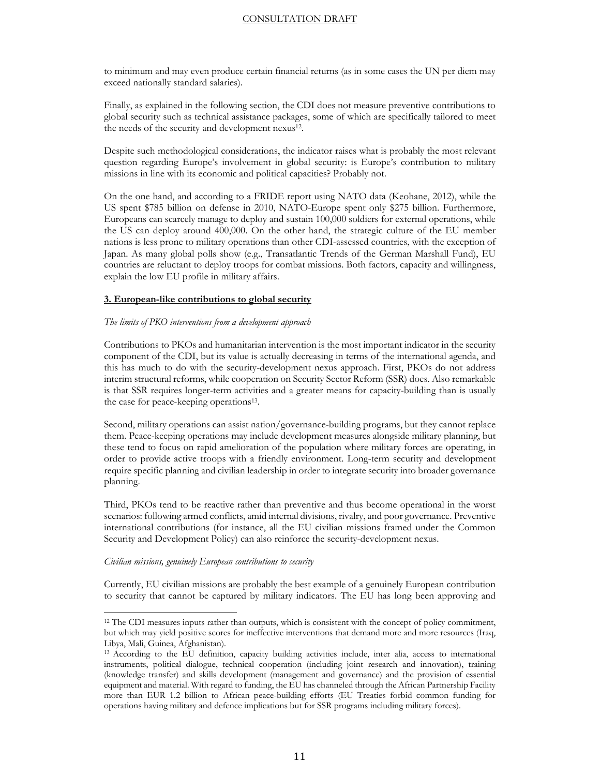to minimum and may even produce certain financial returns (as in some cases the UN per diem may exceed nationally standard salaries).

Finally, as explained in the following section, the CDI does not measure preventive contributions to global security such as technical assistance packages, some of which are specifically tailored to meet the needs of the security and development nexus<sup>12</sup>.

Despite such methodological considerations, the indicator raises what is probably the most relevant question regarding Europe's involvement in global security: is Europe's contribution to military missions in line with its economic and political capacities? Probably not.

On the one hand, and according to a FRIDE report using NATO data (Keohane, 2012), while the US spent \$785 billion on defense in 2010, NATO-Europe spent only \$275 billion. Furthermore, Europeans can scarcely manage to deploy and sustain 100,000 soldiers for external operations, while the US can deploy around 400,000. On the other hand, the strategic culture of the EU member nations is less prone to military operations than other CDI-assessed countries, with the exception of Japan. As many global polls show (e.g., Transatlantic Trends of the German Marshall Fund), EU countries are reluctant to deploy troops for combat missions. Both factors, capacity and willingness, explain the low EU profile in military affairs.

#### **3. European-like contributions to global security**

#### *The limits of PKO interventions from a development approach*

Contributions to PKOs and humanitarian intervention is the most important indicator in the security component of the CDI, but its value is actually decreasing in terms of the international agenda, and this has much to do with the security-development nexus approach. First, PKOs do not address interim structural reforms, while cooperation on Security Sector Reform (SSR) does. Also remarkable is that SSR requires longer-term activities and a greater means for capacity-building than is usually the case for peace-keeping operations13.

Second, military operations can assist nation/governance-building programs, but they cannot replace them. Peace-keeping operations may include development measures alongside military planning, but these tend to focus on rapid amelioration of the population where military forces are operating, in order to provide active troops with a friendly environment. Long-term security and development require specific planning and civilian leadership in order to integrate security into broader governance planning.

Third, PKOs tend to be reactive rather than preventive and thus become operational in the worst scenarios: following armed conflicts, amid internal divisions, rivalry, and poor governance. Preventive international contributions (for instance, all the EU civilian missions framed under the Common Security and Development Policy) can also reinforce the security-development nexus.

#### *Civilian missions, genuinely European contributions to security*

l

Currently, EU civilian missions are probably the best example of a genuinely European contribution to security that cannot be captured by military indicators. The EU has long been approving and

<sup>12</sup> The CDI measures inputs rather than outputs, which is consistent with the concept of policy commitment, but which may yield positive scores for ineffective interventions that demand more and more resources (Iraq, Libya, Mali, Guinea, Afghanistan).

<sup>13</sup> According to the EU definition, capacity building activities include, inter alia, access to international instruments, political dialogue, technical cooperation (including joint research and innovation), training (knowledge transfer) and skills development (management and governance) and the provision of essential equipment and material. With regard to funding, the EU has channeled through the African Partnership Facility more than EUR 1.2 billion to African peace-building efforts (EU Treaties forbid common funding for operations having military and defence implications but for SSR programs including military forces).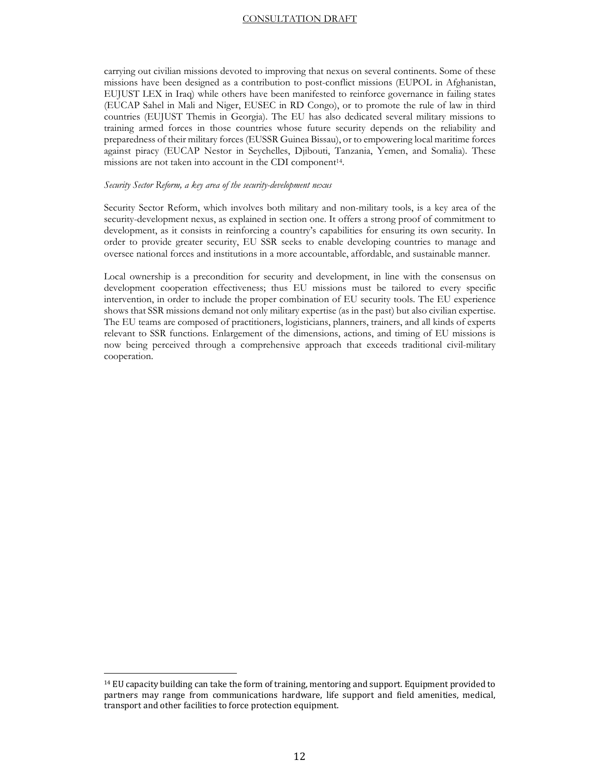carrying out civilian missions devoted to improving that nexus on several continents. Some of these missions have been designed as a contribution to post-conflict missions (EUPOL in Afghanistan, EUJUST LEX in Iraq) while others have been manifested to reinforce governance in failing states (EUCAP Sahel in Mali and Niger, EUSEC in RD Congo), or to promote the rule of law in third countries (EUJUST Themis in Georgia). The EU has also dedicated several military missions to training armed forces in those countries whose future security depends on the reliability and preparedness of their military forces (EUSSR Guinea Bissau), or to empowering local maritime forces against piracy (EUCAP Nestor in Seychelles, Djibouti, Tanzania, Yemen, and Somalia). These missions are not taken into account in the CDI component<sup>14</sup>.

#### *Security Sector Reform, a key area of the security-development nexus*

Security Sector Reform, which involves both military and non-military tools, is a key area of the security-development nexus, as explained in section one. It offers a strong proof of commitment to development, as it consists in reinforcing a country's capabilities for ensuring its own security. In order to provide greater security, EU SSR seeks to enable developing countries to manage and oversee national forces and institutions in a more accountable, affordable, and sustainable manner.

Local ownership is a precondition for security and development, in line with the consensus on development cooperation effectiveness; thus EU missions must be tailored to every specific intervention, in order to include the proper combination of EU security tools. The EU experience shows that SSR missions demand not only military expertise (as in the past) but also civilian expertise. The EU teams are composed of practitioners, logisticians, planners, trainers, and all kinds of experts relevant to SSR functions. Enlargement of the dimensions, actions, and timing of EU missions is now being perceived through a comprehensive approach that exceeds traditional civil-military cooperation.

<sup>14</sup> EU capacity building can take the form of training, mentoring and support. Equipment provided to partners may range from communications hardware, life support and field amenities, medical, transport and other facilities to force protection equipment.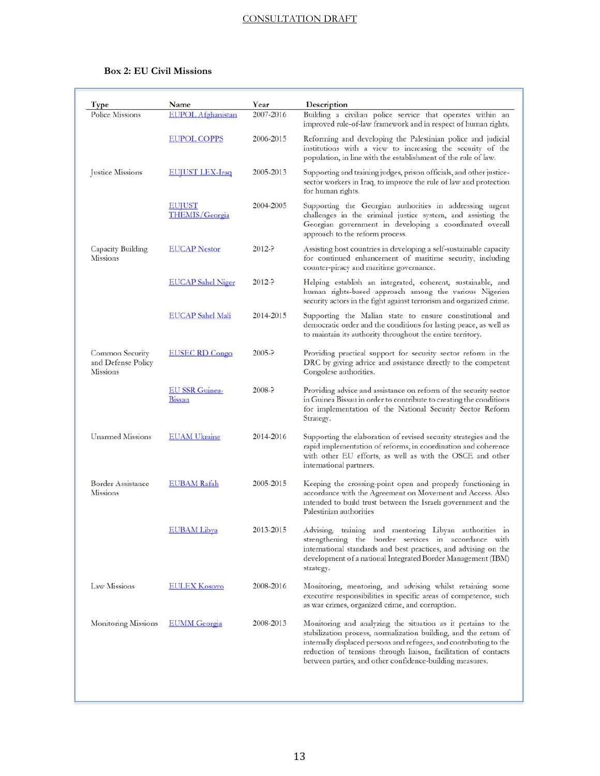### **Box 2: EU Civil Missions**

| Type                                              | Name                                   | Year       | Description                                                                                                                                                                                                                                                               |
|---------------------------------------------------|----------------------------------------|------------|---------------------------------------------------------------------------------------------------------------------------------------------------------------------------------------------------------------------------------------------------------------------------|
| Police Missions                                   | <b>EUPOL</b> Afghanistan               | 2007-2016  | Building a civilian police service that operates within an<br>improved rule-of-law framework and in respect of human rights.                                                                                                                                              |
|                                                   | <b>EUPOL COPPS</b>                     | 2006-2015  | Reforming and developing the Palestinian police and judicial<br>institutions with a view to increasing the security of the<br>population, in line with the establishment of the rule of law.                                                                              |
| Justice Missions                                  | <b>BUILST LEX-Iraq</b>                 | 2005-2013  | Supporting and training judges, prison officials, and other justice-<br>sector workers in Iraq, to improve the rule of law and protection<br>for human rights.                                                                                                            |
|                                                   | EUJUST<br><b>THEMIS/Georgia</b>        | 2004-2005  | Supporting the Georgian authorities in addressing urgent<br>challenges in the criminal justice system, and assisting the<br>Georgian government in developing a coordinated overall<br>approach to the reform process.                                                    |
| Capacity Building<br>Missions                     | <b>EUCAP</b> Nestor                    | $2012 - ?$ | Assisting host countries in developing a self-sustainable capacity<br>for continued enhancement of maritime security, including<br>counter-piracy and maritime governance.                                                                                                |
|                                                   | <b>EUCAP</b> Sahel Niger               | $2012 - ?$ | Helping establish an integrated, coherent, sustainable, and<br>human rights-based approach among the various Nigerien<br>security actors in the fight against terrorism and organized crime.                                                                              |
|                                                   | EUCAP Sahel Mali                       | 2014-2015  | Supporting the Malian state to ensure constitutional and<br>democratic order and the conditions for lasting peace, as well as<br>to maintain its authority throughout the entire territory.                                                                               |
| Common Security<br>and Defense Policy<br>Missions | <b>EUSEC RD Congo</b>                  | $2005 - ?$ | Providing practical support for security sector reform in the<br>DRC by giving advice and assistance directly to the competent<br>Congolese authorities.                                                                                                                  |
|                                                   | <b>EU SSR Guinea-</b><br><b>Bissau</b> | $2008 - ?$ | Providing advice and assistance on reform of the security sector<br>in Guinea Bissau in order to contribute to creating the conditions<br>for implementation of the National Security Sector Reform<br>Strategy.                                                          |
| <b>Unarmed Missions</b>                           | <b>EUAM Ukraine</b>                    | 2014-2016  | Supporting the elaboration of revised security strategies and the<br>rapid implementation of reforms, in coordination and coherence<br>with other EU efforts, as well as with the OSCE and other<br>international partners.                                               |
| <b>Border Assistance</b><br>Missions              | <b>EUBAM Rafah</b>                     | 2005-2015  | Keeping the crossing-point open and properly functioning in<br>accordance with the Agreement on Movement and Access. Also<br>intended to build trust between the Israeli government and the<br>Palestinian authorities                                                    |
|                                                   | <b>EUBAM Libya</b>                     | 2013-2015  | Advising, training and mentoring Libyan authorities in<br>strengthening the border services in accordance with<br>international standards and best practices, and advising on the<br>development of a national Integrated Border Management (IBM)<br>strategy.            |
| Law Missions                                      | <b>EULEX Kosovo</b>                    | 2008-2016  | Monitoring, mentoring, and advising whilst retaining some<br>executive responsibilities in specific areas of competence, such<br>as war crimes, organized crime, and corruption.                                                                                          |
| Monitoring Missions                               | <b>EUMM</b> Georgia                    | 2008-2013  | Monitoring and analyzing the situation as it pertains to the<br>stabilization process, normalization building, and the return of<br>internally displaced persons and refugees, and contributing to the<br>reduction of tensions through liaison, facilitation of contacts |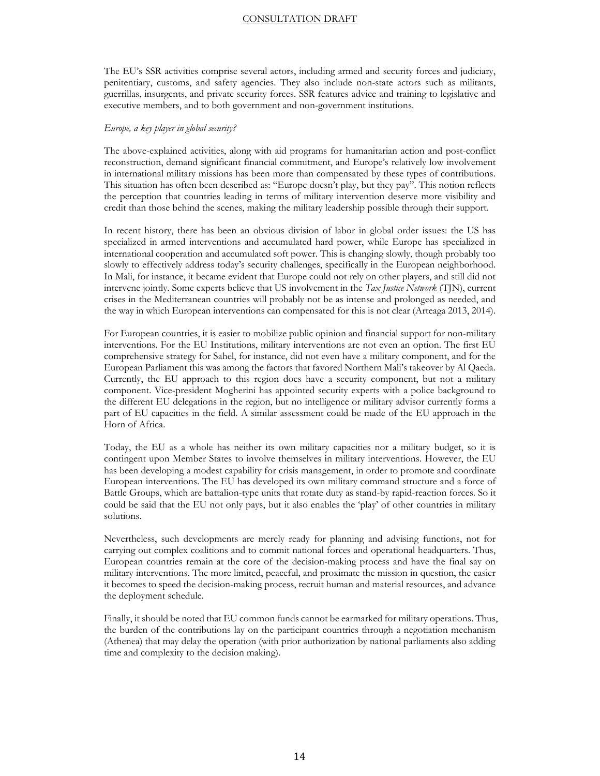The EU's SSR activities comprise several actors, including armed and security forces and judiciary, penitentiary, customs, and safety agencies. They also include non-state actors such as militants, guerrillas, insurgents, and private security forces. SSR features advice and training to legislative and executive members, and to both government and non-government institutions.

#### *Europe, a key player in global security?*

The above-explained activities, along with aid programs for humanitarian action and post-conflict reconstruction, demand significant financial commitment, and Europe's relatively low involvement in international military missions has been more than compensated by these types of contributions. This situation has often been described as: "Europe doesn't play, but they pay". This notion reflects the perception that countries leading in terms of military intervention deserve more visibility and credit than those behind the scenes, making the military leadership possible through their support.

In recent history, there has been an obvious division of labor in global order issues: the US has specialized in armed interventions and accumulated hard power, while Europe has specialized in international cooperation and accumulated soft power. This is changing slowly, though probably too slowly to effectively address today's security challenges, specifically in the European neighborhood. In Mali, for instance, it became evident that Europe could not rely on other players, and still did not intervene jointly. Some experts believe that US involvement in the *Tax Justice Network* (TJN), current crises in the Mediterranean countries will probably not be as intense and prolonged as needed, and the way in which European interventions can compensated for this is not clear (Arteaga 2013, 2014).

For European countries, it is easier to mobilize public opinion and financial support for non-military interventions. For the EU Institutions, military interventions are not even an option. The first EU comprehensive strategy for Sahel, for instance, did not even have a military component, and for the European Parliament this was among the factors that favored Northern Mali's takeover by Al Qaeda. Currently, the EU approach to this region does have a security component, but not a military component. Vice-president Mogherini has appointed security experts with a police background to the different EU delegations in the region, but no intelligence or military advisor currently forms a part of EU capacities in the field. A similar assessment could be made of the EU approach in the Horn of Africa.

Today, the EU as a whole has neither its own military capacities nor a military budget, so it is contingent upon Member States to involve themselves in military interventions. However, the EU has been developing a modest capability for crisis management, in order to promote and coordinate European interventions. The EU has developed its own military command structure and a force of Battle Groups, which are battalion-type units that rotate duty as stand-by rapid-reaction forces. So it could be said that the EU not only pays, but it also enables the 'play' of other countries in military solutions.

Nevertheless, such developments are merely ready for planning and advising functions, not for carrying out complex coalitions and to commit national forces and operational headquarters. Thus, European countries remain at the core of the decision-making process and have the final say on military interventions. The more limited, peaceful, and proximate the mission in question, the easier it becomes to speed the decision-making process, recruit human and material resources, and advance the deployment schedule.

Finally, it should be noted that EU common funds cannot be earmarked for military operations. Thus, the burden of the contributions lay on the participant countries through a negotiation mechanism (Athenea) that may delay the operation (with prior authorization by national parliaments also adding time and complexity to the decision making).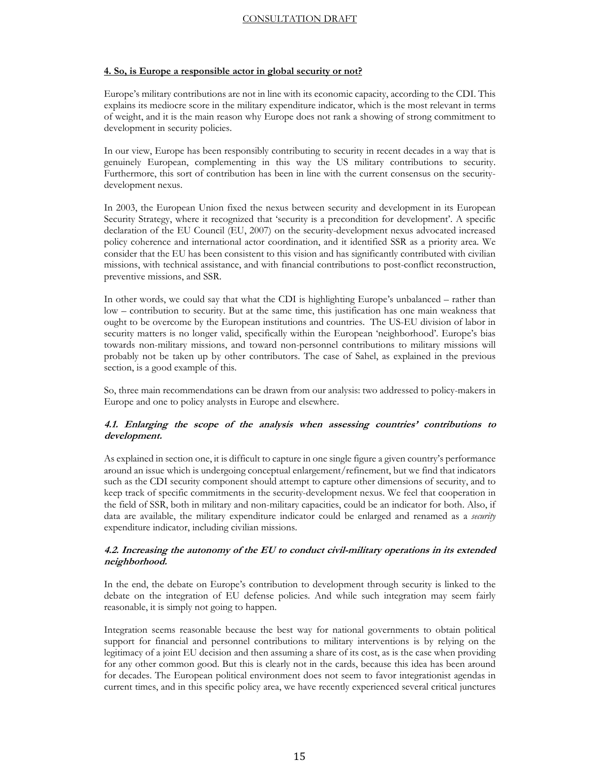#### **4. So, is Europe a responsible actor in global security or not?**

Europe's military contributions are not in line with its economic capacity, according to the CDI. This explains its mediocre score in the military expenditure indicator, which is the most relevant in terms of weight, and it is the main reason why Europe does not rank a showing of strong commitment to development in security policies.

In our view, Europe has been responsibly contributing to security in recent decades in a way that is genuinely European, complementing in this way the US military contributions to security. Furthermore, this sort of contribution has been in line with the current consensus on the securitydevelopment nexus.

In 2003, the European Union fixed the nexus between security and development in its European Security Strategy, where it recognized that 'security is a precondition for development'. A specific declaration of the EU Council (EU, 2007) on the security-development nexus advocated increased policy coherence and international actor coordination, and it identified SSR as a priority area. We consider that the EU has been consistent to this vision and has significantly contributed with civilian missions, with technical assistance, and with financial contributions to post-conflict reconstruction, preventive missions, and SSR.

In other words, we could say that what the CDI is highlighting Europe's unbalanced – rather than low – contribution to security. But at the same time, this justification has one main weakness that ought to be overcome by the European institutions and countries. The US-EU division of labor in security matters is no longer valid, specifically within the European 'neighborhood'. Europe's bias towards non-military missions, and toward non-personnel contributions to military missions will probably not be taken up by other contributors. The case of Sahel, as explained in the previous section, is a good example of this.

So, three main recommendations can be drawn from our analysis: two addressed to policy-makers in Europe and one to policy analysts in Europe and elsewhere.

#### **4.1. Enlarging the scope of the analysis when assessing countries' contributions to development.**

As explained in section one, it is difficult to capture in one single figure a given country's performance around an issue which is undergoing conceptual enlargement/refinement, but we find that indicators such as the CDI security component should attempt to capture other dimensions of security, and to keep track of specific commitments in the security-development nexus. We feel that cooperation in the field of SSR, both in military and non-military capacities, could be an indicator for both. Also, if data are available, the military expenditure indicator could be enlarged and renamed as a *security* expenditure indicator, including civilian missions.

#### **4.2. Increasing the autonomy of the EU to conduct civil-military operations in its extended neighborhood.**

In the end, the debate on Europe's contribution to development through security is linked to the debate on the integration of EU defense policies. And while such integration may seem fairly reasonable, it is simply not going to happen.

Integration seems reasonable because the best way for national governments to obtain political support for financial and personnel contributions to military interventions is by relying on the legitimacy of a joint EU decision and then assuming a share of its cost, as is the case when providing for any other common good. But this is clearly not in the cards, because this idea has been around for decades. The European political environment does not seem to favor integrationist agendas in current times, and in this specific policy area, we have recently experienced several critical junctures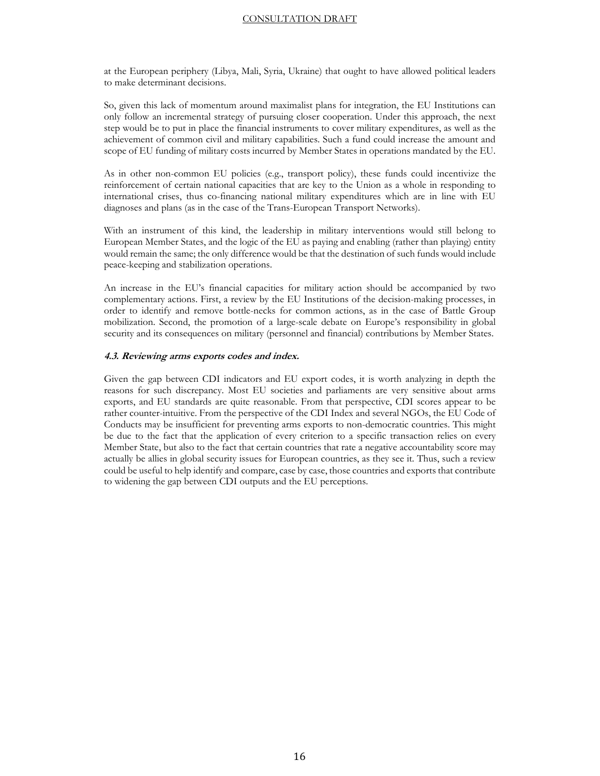at the European periphery (Libya, Mali, Syria, Ukraine) that ought to have allowed political leaders to make determinant decisions.

So, given this lack of momentum around maximalist plans for integration, the EU Institutions can only follow an incremental strategy of pursuing closer cooperation. Under this approach, the next step would be to put in place the financial instruments to cover military expenditures, as well as the achievement of common civil and military capabilities. Such a fund could increase the amount and scope of EU funding of military costs incurred by Member States in operations mandated by the EU.

As in other non-common EU policies (e.g., transport policy), these funds could incentivize the reinforcement of certain national capacities that are key to the Union as a whole in responding to international crises, thus co-financing national military expenditures which are in line with EU diagnoses and plans (as in the case of the Trans-European Transport Networks).

With an instrument of this kind, the leadership in military interventions would still belong to European Member States, and the logic of the EU as paying and enabling (rather than playing) entity would remain the same; the only difference would be that the destination of such funds would include peace-keeping and stabilization operations.

An increase in the EU's financial capacities for military action should be accompanied by two complementary actions. First, a review by the EU Institutions of the decision-making processes, in order to identify and remove bottle-necks for common actions, as in the case of Battle Group mobilization. Second, the promotion of a large-scale debate on Europe's responsibility in global security and its consequences on military (personnel and financial) contributions by Member States.

#### **4.3. Reviewing arms exports codes and index.**

Given the gap between CDI indicators and EU export codes, it is worth analyzing in depth the reasons for such discrepancy. Most EU societies and parliaments are very sensitive about arms exports, and EU standards are quite reasonable. From that perspective, CDI scores appear to be rather counter-intuitive. From the perspective of the CDI Index and several NGOs, the EU Code of Conducts may be insufficient for preventing arms exports to non-democratic countries. This might be due to the fact that the application of every criterion to a specific transaction relies on every Member State, but also to the fact that certain countries that rate a negative accountability score may actually be allies in global security issues for European countries, as they see it. Thus, such a review could be useful to help identify and compare, case by case, those countries and exports that contribute to widening the gap between CDI outputs and the EU perceptions.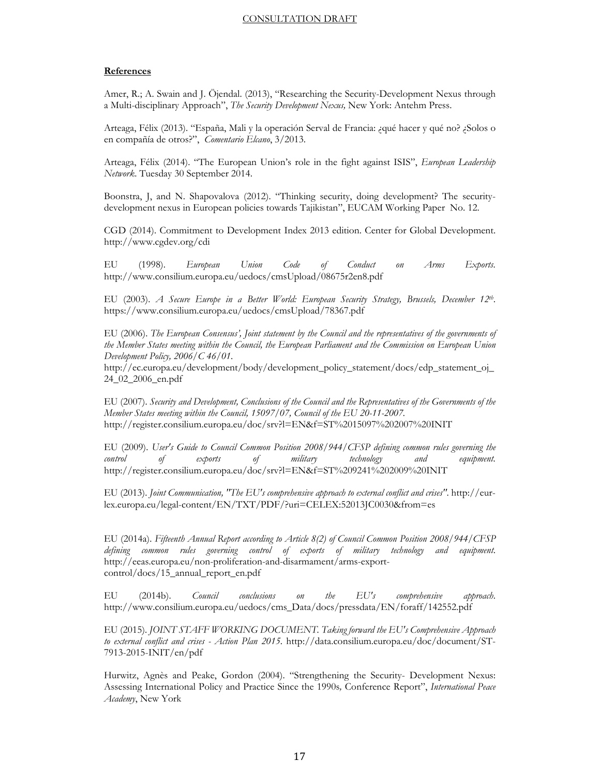#### **References**

Amer, R.; A. Swain and J. Öjendal. (2013), "Researching the Security-Development Nexus through a Multi-disciplinary Approach", *The Security Development Nexus,* New York: Antehm Press.

Arteaga, Félix (2013). "España, Mali y la operación Serval de Francia: ¿qué hacer y qué no? ¿Solos o en compañía de otros?", *Comentario Elcano*, 3/2013.

Arteaga, Félix (2014). "The European Union's role in the fight against ISIS", *European Leadership Network*. Tuesday 30 September 2014.

Boonstra, J, and N. Shapovalova (2012). "Thinking security, doing development? The securitydevelopment nexus in European policies towards Tajikistan", EUCAM Working Paper No. 12.

CGD (2014). Commitment to Development Index 2013 edition. Center for Global Development. http://www.cgdev.org/cdi

EU (1998). *European Union Code of Conduct on Arms Exports.* http://www.consilium.europa.eu/uedocs/cmsUpload/08675r2en8.pdf

EU (2003). *A Secure Europe in a Better World: European Security Strategy, Brussels, December 12th*. https://www.consilium.europa.eu/uedocs/cmsUpload/78367.pdf

EU (2006). *The European Consensus', Joint statement by the Council and the representatives of the governments of the Member States meeting within the Council, the European Parliament and the Commission on European Union Development Policy, 2006/C 46/01*.

http://ec.europa.eu/development/body/development\_policy\_statement/docs/edp\_statement\_oj\_ 24\_02\_2006\_en.pdf

EU (2007). *Security and Development, Conclusions of the Council and the Representatives of the Governments of the Member States meeting within the Council, 15097/07, Council of the EU 20-11-2007.*  http://register.consilium.europa.eu/doc/srv?l=EN&f=ST%2015097%202007%20INIT

EU (2009). *User's Guide to Council Common Position 2008/944/CFSP defining common rules governing the control of exports of military technology and equipment.*  http://register.consilium.europa.eu/doc/srv?l=EN&f=ST%209241%202009%20INIT

EU (2013). *Joint Communication, "The EU's comprehensive approach to external conflict and crises"*. http://eurlex.europa.eu/legal-content/EN/TXT/PDF/?uri=CELEX:52013JC0030&from=es

EU (2014a). *Fifteenth Annual Report according to Article 8(2) of Council Common Position 2008/944/CFSP defining common rules governing control of exports of military technology and equipment*. http://eeas.europa.eu/non-proliferation-and-disarmament/arms-exportcontrol/docs/15\_annual\_report\_en.pdf

EU (2014b). *Council conclusions on the EU's comprehensive approach*. http://www.consilium.europa.eu/uedocs/cms\_Data/docs/pressdata/EN/foraff/142552.pdf

EU (2015). *JOINT STAFF WORKING DOCUMENT. Taking forward the EU's Comprehensive Approach to external conflict and crises - Action Plan 2015*. http://data.consilium.europa.eu/doc/document/ST-7913-2015-INIT/en/pdf

Hurwitz, Agnès and Peake, Gordon (2004). "Strengthening the Security- Development Nexus: Assessing International Policy and Practice Since the 1990s*,* Conference Report", *International Peace Academy*, New York